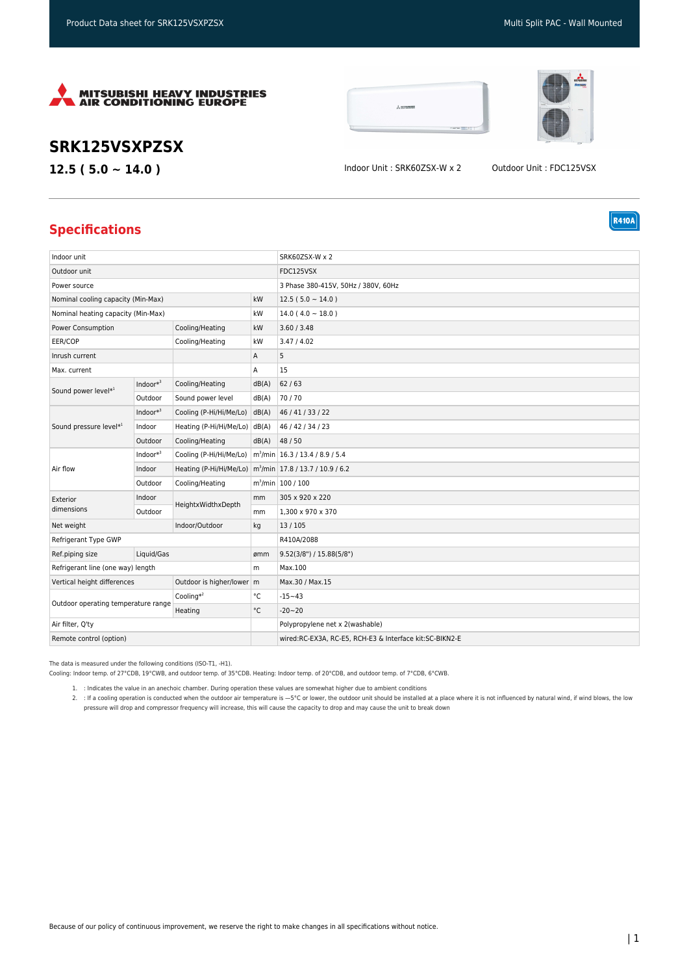





**R410A** 

## **SRK125VSXPZSX**

**12.5 ( 5.0 ~ 14.0 )** Indoor Unit : SRK60ZSX-W x 2 Outdoor Unit : FDC125VSX

## **Specifications**

| Indoor unit                                                |              |                                                                      |                                                         | SRK60ZSX-W x 2                                |
|------------------------------------------------------------|--------------|----------------------------------------------------------------------|---------------------------------------------------------|-----------------------------------------------|
| Outdoor unit                                               |              |                                                                      |                                                         | FDC125VSX                                     |
| Power source                                               |              |                                                                      |                                                         | 3 Phase 380-415V, 50Hz / 380V, 60Hz           |
| Nominal cooling capacity (Min-Max)                         |              | kW                                                                   | $12.5(5.0 \sim 14.0)$                                   |                                               |
| Nominal heating capacity (Min-Max)                         |              | kW                                                                   | $14.0(4.0 \sim 18.0)$                                   |                                               |
| Power Consumption<br>Cooling/Heating                       |              |                                                                      | kW                                                      | 3.60 / 3.48                                   |
| EER/COP                                                    |              | Cooling/Heating                                                      | kW                                                      | 3.47 / 4.02                                   |
| Inrush current                                             |              | Α                                                                    | 5                                                       |                                               |
| Max. current                                               |              |                                                                      | А                                                       | 15                                            |
| Sound power level*1                                        | $Indoor*3$   | Cooling/Heating                                                      | dB(A)                                                   | 62/63                                         |
|                                                            | Outdoor      | Sound power level                                                    | dB(A)                                                   | 70/70                                         |
| Sound pressure level*1                                     | Indoor $*^3$ | Cooling (P-Hi/Hi/Me/Lo)                                              | dB(A)                                                   | 46 / 41 / 33 / 22                             |
|                                                            | Indoor       | Heating (P-Hi/Hi/Me/Lo) dB(A)                                        |                                                         | 46 / 42 / 34 / 23                             |
|                                                            | Outdoor      | Cooling/Heating                                                      | dB(A)                                                   | 48 / 50                                       |
| Air flow                                                   | $Indoor*3$   | Cooling (P-Hi/Hi/Me/Lo)                                              |                                                         | m <sup>3</sup> /min   16.3 / 13.4 / 8.9 / 5.4 |
|                                                            | Indoor       | Heating (P-Hi/Hi/Me/Lo) m <sup>3</sup> /min 17.8 / 13.7 / 10.9 / 6.2 |                                                         |                                               |
|                                                            | Outdoor      | Cooling/Heating                                                      |                                                         | m <sup>3</sup> /min 100 / 100                 |
| Exterior<br>dimensions                                     | Indoor       | HeightxWidthxDepth                                                   | mm                                                      | 305 x 920 x 220                               |
|                                                            | Outdoor      |                                                                      | mm                                                      | 1,300 x 970 x 370                             |
| Net weight<br>Indoor/Outdoor                               |              | kg                                                                   | 13/105                                                  |                                               |
| Refrigerant Type GWP                                       |              |                                                                      | R410A/2088                                              |                                               |
| Ref.piping size                                            | Liquid/Gas   |                                                                      | ømm                                                     | 9.52(3/8") / 15.88(5/8")                      |
| Refrigerant line (one way) length                          |              | m                                                                    | Max.100                                                 |                                               |
| Vertical height differences<br>Outdoor is higher/lower   m |              |                                                                      | Max.30 / Max.15                                         |                                               |
| Outdoor operating temperature range                        |              | Cooling $*^2$                                                        | °C                                                      | $-15 - 43$                                    |
|                                                            |              | Heating                                                              | $^{\circ}{\rm C}$                                       | $-20 - 20$                                    |
| Air filter, O'ty                                           |              |                                                                      | Polypropylene net x 2(washable)                         |                                               |
| Remote control (option)                                    |              |                                                                      | wired:RC-EX3A, RC-E5, RCH-E3 & Interface kit:SC-BIKN2-E |                                               |

The data is measured under the following conditions (ISO-T1, -H1).

Cooling: Indoor temp. of 27°CDB, 19°CWB, and outdoor temp. of 35°CDB. Heating: Indoor temp. of 20°CDB, and outdoor temp. of 7°CDB, 6°CWB.

1. : Indicates the value in an anechoic chamber. During operation these values are somewhat higher due to ambient conditions

2. : If a cooling operation is conducted when the outdoor air temperature is —5°C or lower, the outdoor unit should be installed at a place where it is not influenced by natural wind, if wind blows, the low pressure will drop and compressor frequency will increase, this will cause the capacity to drop and may cause the unit to break down